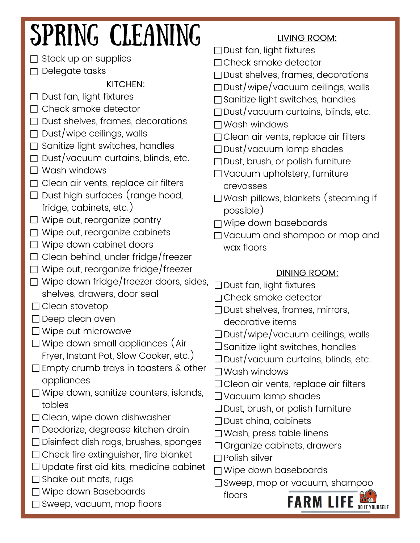### SPRING CLEANING LIVING ROOM: □ Dust fan, light fixtures  $\Box$  Stock up on supplies Check smoke detector D Delegate tasks □ Dust shelves, frames, decorations KITCHEN:  $\Box$ Dust/wipe/vacuum ceilings, walls  $\Box$  Dust fan, light fixtures □ Sanitize light switches, handles □ Check smoke detector  $\Box$  Dust/vacuum curtains, blinds, etc.  $\Box$  Dust shelves, frames, decorations Wash windows  $\Box$  Dust/wipe ceilings, walls □ Clean air vents, replace air filters  $\Box$  Sanitize light switches, handles Dust/vacuum lamp shades  $\Box$  Dust/vacuum curtains, blinds, etc. □ Dust, brush, or polish furniture  $\Box$  Wash windows □ Vacuum upholstery, furniture □ Clean air vents, replace air filters crevasses  $\square$  Dust high surfaces (range hood, Wash pillows, blankets (steaming if fridge, cabinets, etc.) possible)  $\Box$  Wipe out, reorganize pantry □ Wipe down baseboards □ Wipe out, reorganize cabinets Vacuum and shampoo or mop and □ Wipe down cabinet doors wax floors  $\Box$  Clean behind, under fridge/freezer  $\Box$  Wipe out, reorganize fridge/freezer DINING ROOM:  $\Box$  Wipe down fridge/freezer doors, sides, □ Dust fan, light fixtures shelves, drawers, door seal Check smoke detector □ Clean stovetop Dust shelves, frames, mirrors, □ Deep clean oven decorative items □ Wipe out microwave  $\square$ Dust/wipe/vacuum ceilings, walls □ Wipe down small appliances (Air  $\square$  Sanitize light switches, handles Fryer, Instant Pot, Slow Cooker, etc.)  $\square$  Dust/vacuum curtains, blinds, etc.  $\square$  Empty crumb trays in toasters  $\&$  other Wash windows appliances □ Clean air vents, replace air filters □ Wipe down, sanitize counters, islands, Vacuum lamp shades tables  $\Box$  Dust, brush, or polish furniture  $\Box$  Clean, wipe down dishwasher  $\Box$  Dust china, cabinets □ Deodorize, degrease kitchen drain □ Wash, press table linens □ Disinfect dish rags, brushes, sponges □ Organize cabinets, drawers  $\square$  Check fire extinguisher, fire blanket  $\Box$  Polish silver  $\Box$  Update first aid kits, medicine cabinet Wipe down baseboards  $\square$  Shake out mats, rugs Sweep, mop or vacuum, shampoo □ Wipe down Baseboards floors **FARM LIFE DOUT YOURSELF** □ Sweep, vacuum, mop floors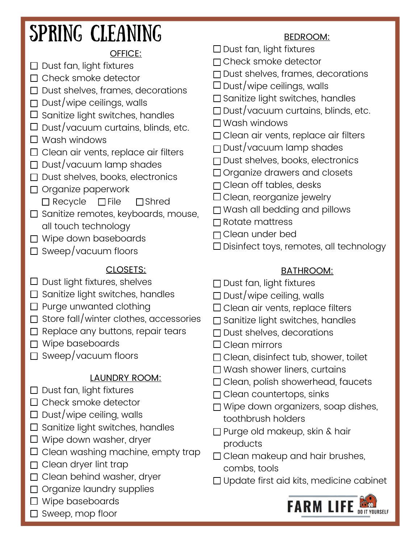## SPRING CLEANING BEDROOM:

## OFFICE:

- $\Box$  Dust fan, light fixtures
- $\Box$  Check smoke detector
- $\square$  Dust shelves, frames, decorations
- $\Box$  Dust/wipe ceilings, walls
- $\square$  Sanitize light switches, handles
- $\square$  Dust/vacuum curtains, blinds, etc.
- $\square$  Wash windows
- $\Box$  Clean air vents, replace air filters
- $\Box$  Dust/vacuum lamp shades
- $\Box$  Dust shelves, books, electronics
- $\Box$  Organize paperwork
	- $\Box$  Recycle  $\Box$  File  $\Box$  Shred
- $\square$  Sanitize remotes, keyboards, mouse, all touch technology
- □ Wipe down baseboards
- $\Box$  Sweep/vacuum floors

## CLOSETS:

- $\Box$  Dust light fixtures, shelves
- $\Box$  Sanitize light switches, handles
- $\Box$  Purge unwanted clothing
- $\Box$  Store fall/winter clothes, accessories
- $\Box$  Replace any buttons, repair tears
- □ Wipe baseboards
- $\Box$  Sweep/vacuum floors

## LAUNDRY ROOM:

- $\Box$  Dust fan, light fixtures
- $\Box$  Check smoke detector
- $\square$  Dust/wipe ceiling, walls
- $\square$  Sanitize light switches, handles
- □ Wipe down washer, dryer
- $\square$  Clean washing machine, empty trap
- $\Box$  Clean dryer lint trap
- $\Box$  Clean behind washer, dryer
- $\Box$  Organize laundry supplies
- □ Wipe baseboards
- $\square$  Sweep, mop floor

- □ Dust fan, light fixtures
- Check smoke detector
- $\Box$  Dust shelves, frames, decorations
- $\square$  Dust/wipe ceilings, walls
- $\square$  Sanitize light switches, handles
- $\Box$  Dust/vacuum curtains, blinds, etc.
- □ Wash windows
- □ Clean air vents, replace air filters
- $\Box$  Dust/vacuum lamp shades
- □ Dust shelves, books, electronics
- □ Organize drawers and closets
- $\Box$  Clean off tables, desks
- $\Box$  Clean, reorganize jewelry
- □ Wash all bedding and pillows
- $\Box$  Rotate mattress
- Clean under bed
- Disinfect toys, remotes, all technology

### BATHROOM:

- $\Box$  Dust fan, light fixtures
- $\square$  Dust/wipe ceiling, walls
- $\Box$  Clean air vents, replace filters
- $\square$  Sanitize light switches, handles
- $\Box$  Dust shelves, decorations
- □ Clean mirrors
- □ Clean, disinfect tub, shower, toilet
- □ Wash shower liners, curtains
- $\Box$  Clean, polish showerhead, faucets
- $\Box$  Clean countertops, sinks
- □ Wipe down organizers, soap dishes, toothbrush holders
- □ Purge old makeup, skin & hair products
- □ Clean makeup and hair brushes, combs, tools
- Update first aid kits, medicine cabinet